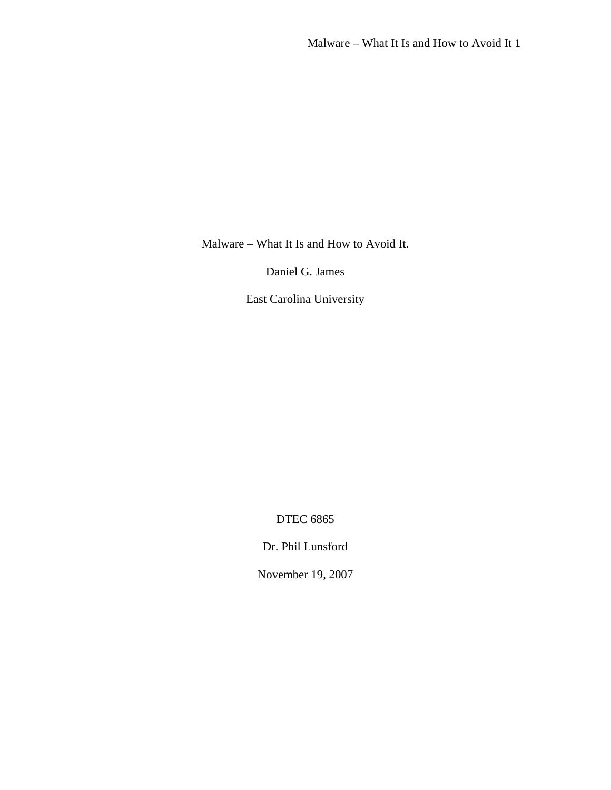Malware – What It Is and How to Avoid It.

Daniel G. James

East Carolina University

DTEC 6865

Dr. Phil Lunsford

November 19, 2007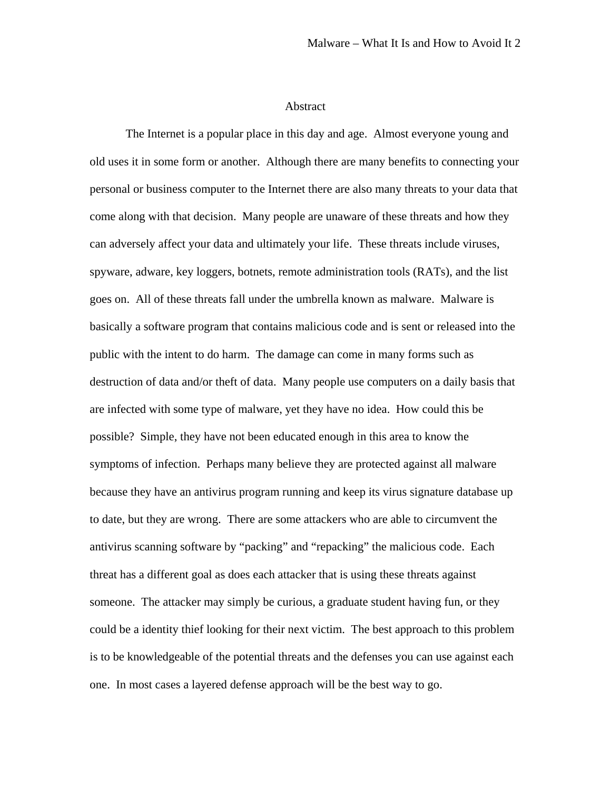### Abstract

 The Internet is a popular place in this day and age. Almost everyone young and old uses it in some form or another. Although there are many benefits to connecting your personal or business computer to the Internet there are also many threats to your data that come along with that decision. Many people are unaware of these threats and how they can adversely affect your data and ultimately your life. These threats include viruses, spyware, adware, key loggers, botnets, remote administration tools (RATs), and the list goes on. All of these threats fall under the umbrella known as malware. Malware is basically a software program that contains malicious code and is sent or released into the public with the intent to do harm. The damage can come in many forms such as destruction of data and/or theft of data. Many people use computers on a daily basis that are infected with some type of malware, yet they have no idea. How could this be possible? Simple, they have not been educated enough in this area to know the symptoms of infection. Perhaps many believe they are protected against all malware because they have an antivirus program running and keep its virus signature database up to date, but they are wrong. There are some attackers who are able to circumvent the antivirus scanning software by "packing" and "repacking" the malicious code. Each threat has a different goal as does each attacker that is using these threats against someone. The attacker may simply be curious, a graduate student having fun, or they could be a identity thief looking for their next victim. The best approach to this problem is to be knowledgeable of the potential threats and the defenses you can use against each one. In most cases a layered defense approach will be the best way to go.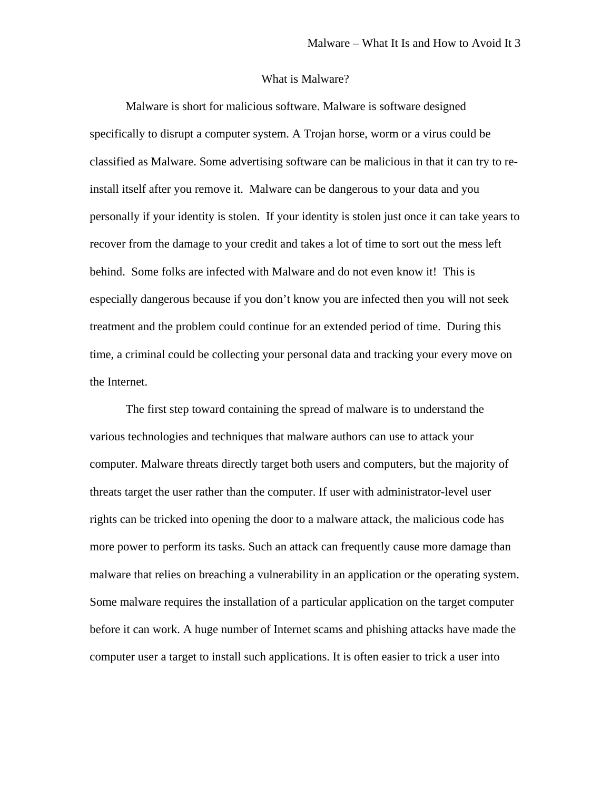### What is Malware?

 Malware is short for malicious software. Malware is software designed specifically to disrupt a computer system. A Trojan horse, worm or a virus could be classified as Malware. Some advertising software can be malicious in that it can try to reinstall itself after you remove it. Malware can be dangerous to your data and you personally if your identity is stolen. If your identity is stolen just once it can take years to recover from the damage to your credit and takes a lot of time to sort out the mess left behind. Some folks are infected with Malware and do not even know it! This is especially dangerous because if you don't know you are infected then you will not seek treatment and the problem could continue for an extended period of time. During this time, a criminal could be collecting your personal data and tracking your every move on the Internet.

 The first step toward containing the spread of malware is to understand the various technologies and techniques that malware authors can use to attack your computer. Malware threats directly target both users and computers, but the majority of threats target the user rather than the computer. If user with administrator-level user rights can be tricked into opening the door to a malware attack, the malicious code has more power to perform its tasks. Such an attack can frequently cause more damage than malware that relies on breaching a vulnerability in an application or the operating system. Some malware requires the installation of a particular application on the target computer before it can work. A huge number of Internet scams and phishing attacks have made the computer user a target to install such applications. It is often easier to trick a user into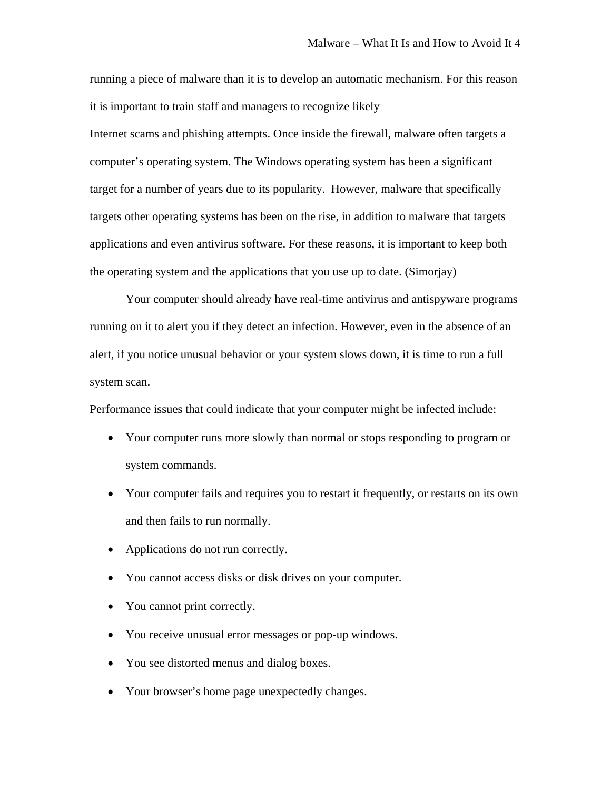running a piece of malware than it is to develop an automatic mechanism. For this reason it is important to train staff and managers to recognize likely Internet scams and phishing attempts. Once inside the firewall, malware often targets a computer's operating system. The Windows operating system has been a significant target for a number of years due to its popularity. However, malware that specifically targets other operating systems has been on the rise, in addition to malware that targets applications and even antivirus software. For these reasons, it is important to keep both the operating system and the applications that you use up to date. (Simorjay)

 Your computer should already have real-time antivirus and antispyware programs running on it to alert you if they detect an infection. However, even in the absence of an alert, if you notice unusual behavior or your system slows down, it is time to run a full system scan.

Performance issues that could indicate that your computer might be infected include:

- Your computer runs more slowly than normal or stops responding to program or system commands.
- Your computer fails and requires you to restart it frequently, or restarts on its own and then fails to run normally.
- Applications do not run correctly.
- You cannot access disks or disk drives on your computer.
- You cannot print correctly.
- You receive unusual error messages or pop-up windows.
- You see distorted menus and dialog boxes.
- Your browser's home page unexpectedly changes.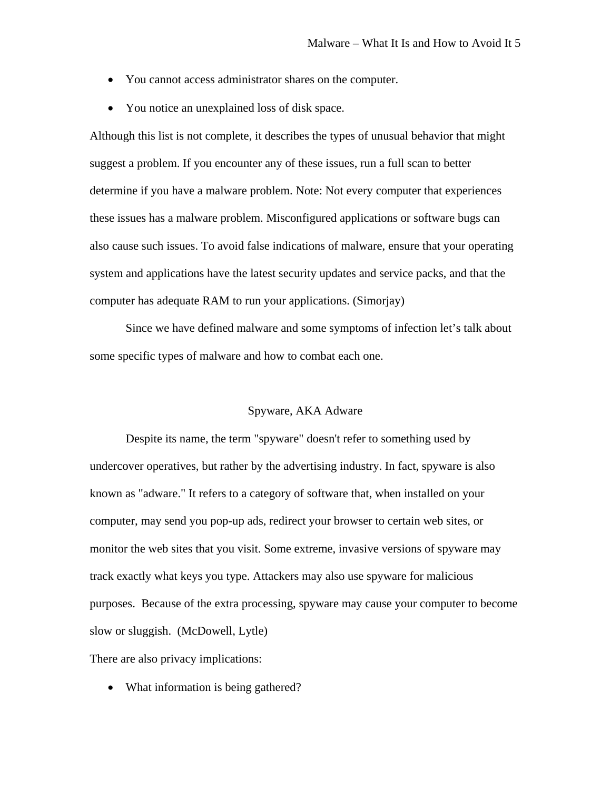- You cannot access administrator shares on the computer.
- You notice an unexplained loss of disk space.

Although this list is not complete, it describes the types of unusual behavior that might suggest a problem. If you encounter any of these issues, run a full scan to better determine if you have a malware problem. Note: Not every computer that experiences these issues has a malware problem. Misconfigured applications or software bugs can also cause such issues. To avoid false indications of malware, ensure that your operating system and applications have the latest security updates and service packs, and that the computer has adequate RAM to run your applications. (Simorjay)

 Since we have defined malware and some symptoms of infection let's talk about some specific types of malware and how to combat each one.

## Spyware, AKA Adware

 Despite its name, the term "spyware" doesn't refer to something used by undercover operatives, but rather by the advertising industry. In fact, spyware is also known as "adware." It refers to a category of software that, when installed on your computer, may send you pop-up ads, redirect your browser to certain web sites, or monitor the web sites that you visit. Some extreme, invasive versions of spyware may track exactly what keys you type. Attackers may also use spyware for malicious purposes. Because of the extra processing, spyware may cause your computer to become slow or sluggish. (McDowell, Lytle)

There are also privacy implications:

• What information is being gathered?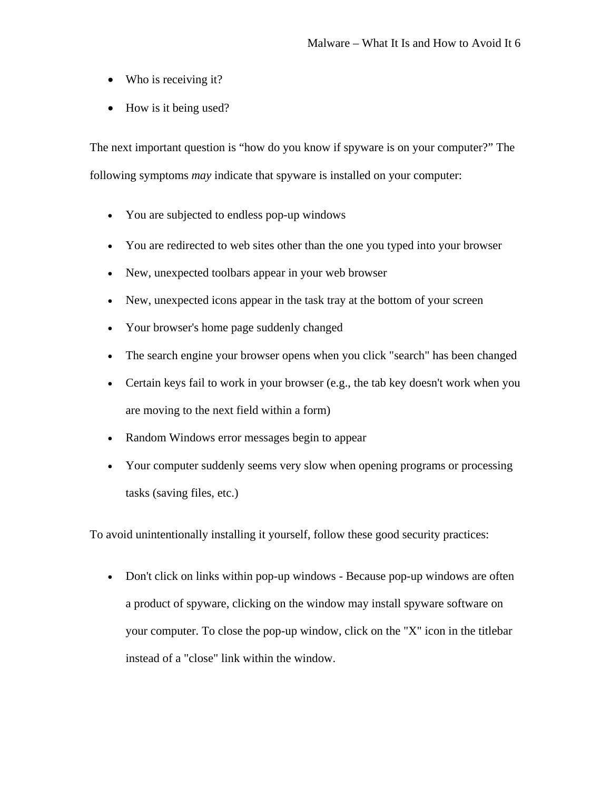- Who is receiving it?
- How is it being used?

The next important question is "how do you know if spyware is on your computer?" The following symptoms *may* indicate that spyware is installed on your computer:

- You are subjected to endless pop-up windows
- You are redirected to web sites other than the one you typed into your browser
- New, unexpected toolbars appear in your web browser
- New, unexpected icons appear in the task tray at the bottom of your screen
- Your browser's home page suddenly changed
- The search engine your browser opens when you click "search" has been changed
- Certain keys fail to work in your browser (e.g., the tab key doesn't work when you are moving to the next field within a form)
- Random Windows error messages begin to appear
- Your computer suddenly seems very slow when opening programs or processing tasks (saving files, etc.)

To avoid unintentionally installing it yourself, follow these good security practices:

• Don't click on links within pop-up windows - Because pop-up windows are often a product of spyware, clicking on the window may install spyware software on your computer. To close the pop-up window, click on the "X" icon in the titlebar instead of a "close" link within the window.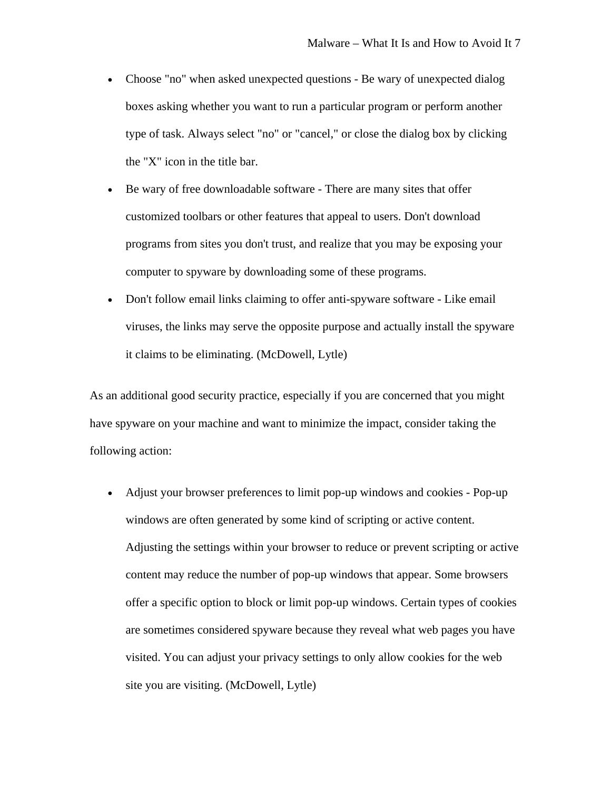- Choose "no" when asked unexpected questions Be wary of unexpected dialog boxes asking whether you want to run a particular program or perform another type of task. Always select "no" or "cancel," or close the dialog box by clicking the "X" icon in the title bar.
- Be wary of free downloadable software There are many sites that offer customized toolbars or other features that appeal to users. Don't download programs from sites you don't trust, and realize that you may be exposing your computer to spyware by downloading some of these programs.
- Don't follow email links claiming to offer anti-spyware software Like email viruses, the links may serve the opposite purpose and actually install the spyware it claims to be eliminating. (McDowell, Lytle)

As an additional good security practice, especially if you are concerned that you might have spyware on your machine and want to minimize the impact, consider taking the following action:

• Adjust your browser preferences to limit pop-up windows and cookies - Pop-up windows are often generated by some kind of scripting or active content. Adjusting the settings within your browser to reduce or prevent scripting or active content may reduce the number of pop-up windows that appear. Some browsers offer a specific option to block or limit pop-up windows. Certain types of cookies are sometimes considered spyware because they reveal what web pages you have visited. You can adjust your privacy settings to only allow cookies for the web site you are visiting. (McDowell, Lytle)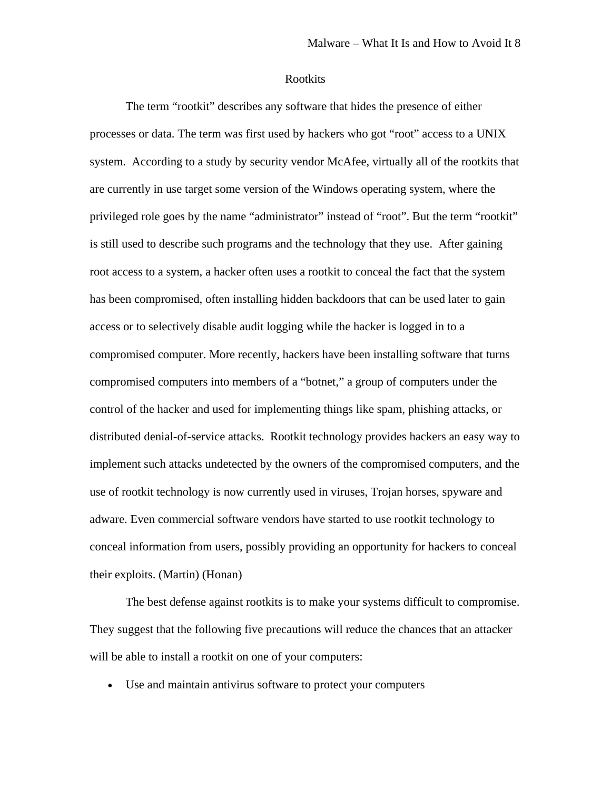## Rootkits

 The term "rootkit" describes any software that hides the presence of either processes or data. The term was first used by hackers who got "root" access to a UNIX system. According to a study by security vendor McAfee, virtually all of the rootkits that are currently in use target some version of the Windows operating system, where the privileged role goes by the name "administrator" instead of "root". But the term "rootkit" is still used to describe such programs and the technology that they use. After gaining root access to a system, a hacker often uses a rootkit to conceal the fact that the system has been compromised, often installing hidden backdoors that can be used later to gain access or to selectively disable audit logging while the hacker is logged in to a compromised computer. More recently, hackers have been installing software that turns compromised computers into members of a "botnet," a group of computers under the control of the hacker and used for implementing things like spam, phishing attacks, or distributed denial-of-service attacks. Rootkit technology provides hackers an easy way to implement such attacks undetected by the owners of the compromised computers, and the use of rootkit technology is now currently used in viruses, Trojan horses, spyware and adware. Even commercial software vendors have started to use rootkit technology to conceal information from users, possibly providing an opportunity for hackers to conceal their exploits. (Martin) (Honan)

 The best defense against rootkits is to make your systems difficult to compromise. They suggest that the following five precautions will reduce the chances that an attacker will be able to install a rootkit on one of your computers:

• Use and maintain antivirus software to protect your computers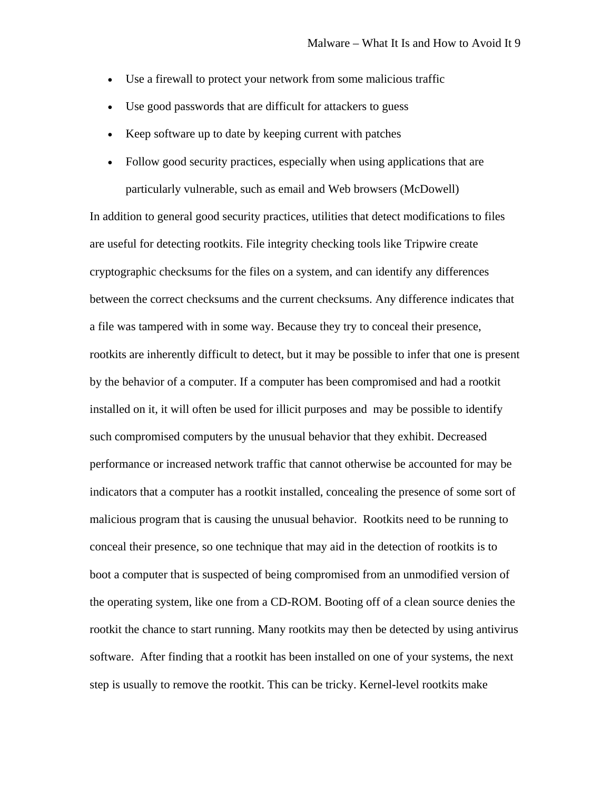- Use a firewall to protect your network from some malicious traffic
- Use good passwords that are difficult for attackers to guess
- Keep software up to date by keeping current with patches
- Follow good security practices, especially when using applications that are particularly vulnerable, such as email and Web browsers (McDowell)

In addition to general good security practices, utilities that detect modifications to files are useful for detecting rootkits. File integrity checking tools like Tripwire create cryptographic checksums for the files on a system, and can identify any differences between the correct checksums and the current checksums. Any difference indicates that a file was tampered with in some way. Because they try to conceal their presence, rootkits are inherently difficult to detect, but it may be possible to infer that one is present by the behavior of a computer. If a computer has been compromised and had a rootkit installed on it, it will often be used for illicit purposes and may be possible to identify such compromised computers by the unusual behavior that they exhibit. Decreased performance or increased network traffic that cannot otherwise be accounted for may be indicators that a computer has a rootkit installed, concealing the presence of some sort of malicious program that is causing the unusual behavior. Rootkits need to be running to conceal their presence, so one technique that may aid in the detection of rootkits is to boot a computer that is suspected of being compromised from an unmodified version of the operating system, like one from a CD-ROM. Booting off of a clean source denies the rootkit the chance to start running. Many rootkits may then be detected by using antivirus software. After finding that a rootkit has been installed on one of your systems, the next step is usually to remove the rootkit. This can be tricky. Kernel-level rootkits make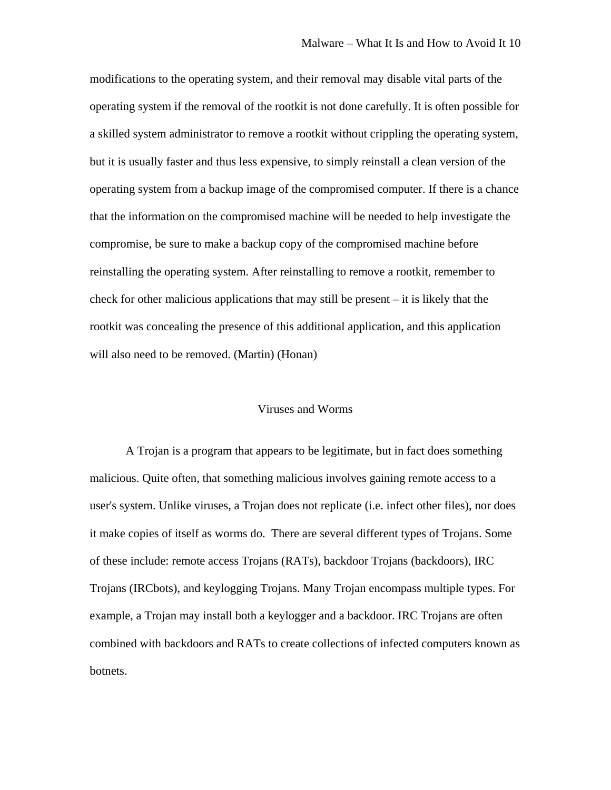modifications to the operating system, and their removal may disable vital parts of the operating system if the removal of the rootkit is not done carefully. It is often possible for a skilled system administrator to remove a rootkit without crippling the operating system, but it is usually faster and thus less expensive, to simply reinstall a clean version of the operating system from a backup image of the compromised computer. If there is a chance that the information on the compromised machine will be needed to help investigate the compromise, be sure to make a backup copy of the compromised machine before reinstalling the operating system. After reinstalling to remove a rootkit, remember to check for other malicious applications that may still be present – it is likely that the rootkit was concealing the presence of this additional application, and this application will also need to be removed. (Martin) (Honan)

#### Viruses and Worms

 A Trojan is a program that appears to be legitimate, but in fact does something malicious. Quite often, that something malicious involves gaining remote access to a user's system. Unlike viruses, a Trojan does not replicate (i.e. infect other files), nor does it make copies of itself as worms do. There are several different types of Trojans. Some of these include: remote access Trojans (RATs), backdoor Trojans (backdoors), IRC Trojans (IRCbots), and keylogging Trojans. Many Trojan encompass multiple types. For example, a Trojan may install both a keylogger and a backdoor. IRC Trojans are often combined with backdoors and RATs to create collections of infected computers known as botnets.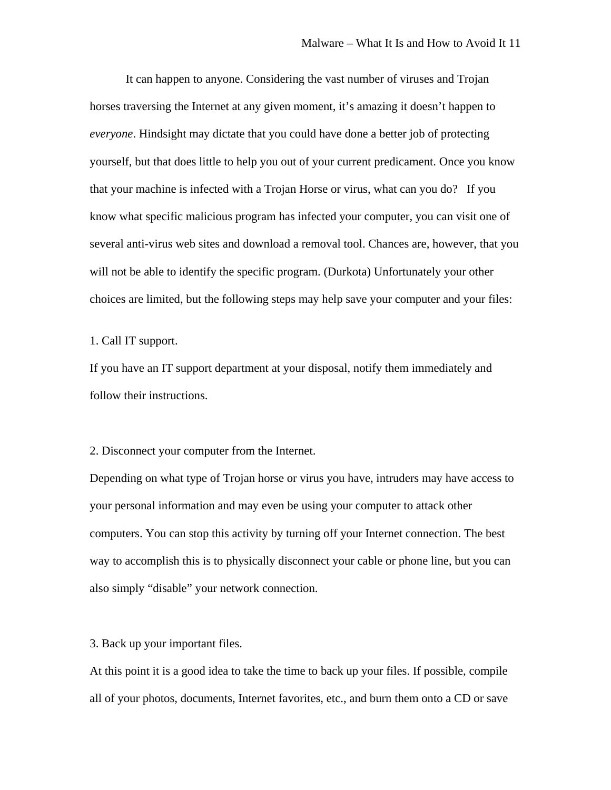It can happen to anyone. Considering the vast number of viruses and Trojan horses traversing the Internet at any given moment, it's amazing it doesn't happen to *everyone*. Hindsight may dictate that you could have done a better job of protecting yourself, but that does little to help you out of your current predicament. Once you know that your machine is infected with a Trojan Horse or virus, what can you do? If you know what specific malicious program has infected your computer, you can visit one of several anti-virus web sites and download a removal tool. Chances are, however, that you will not be able to identify the specific program. (Durkota) Unfortunately your other choices are limited, but the following steps may help save your computer and your files:

1. Call IT support.

If you have an IT support department at your disposal, notify them immediately and follow their instructions.

2. Disconnect your computer from the Internet.

Depending on what type of Trojan horse or virus you have, intruders may have access to your personal information and may even be using your computer to attack other computers. You can stop this activity by turning off your Internet connection. The best way to accomplish this is to physically disconnect your cable or phone line, but you can also simply "disable" your network connection.

3. Back up your important files.

At this point it is a good idea to take the time to back up your files. If possible, compile all of your photos, documents, Internet favorites, etc., and burn them onto a CD or save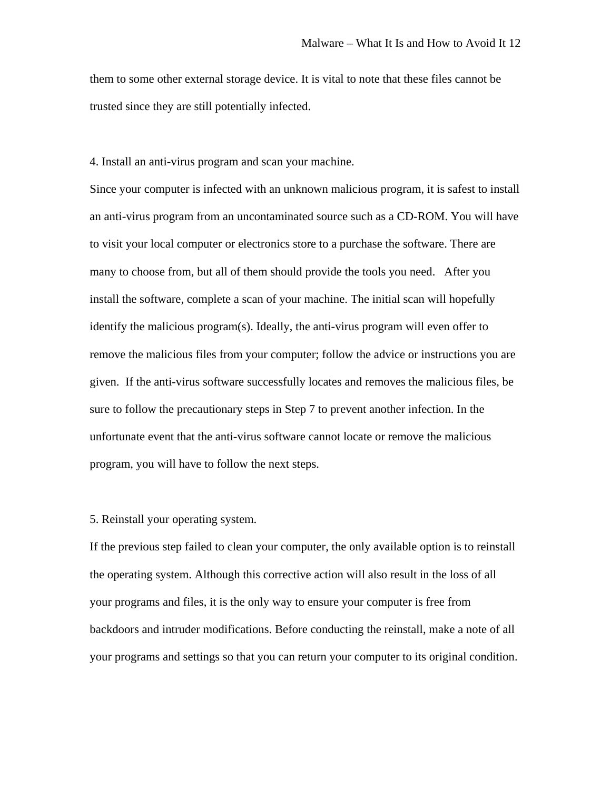them to some other external storage device. It is vital to note that these files cannot be trusted since they are still potentially infected.

4. Install an anti-virus program and scan your machine.

Since your computer is infected with an unknown malicious program, it is safest to install an anti-virus program from an uncontaminated source such as a CD-ROM. You will have to visit your local computer or electronics store to a purchase the software. There are many to choose from, but all of them should provide the tools you need. After you install the software, complete a scan of your machine. The initial scan will hopefully identify the malicious program(s). Ideally, the anti-virus program will even offer to remove the malicious files from your computer; follow the advice or instructions you are given. If the anti-virus software successfully locates and removes the malicious files, be sure to follow the precautionary steps in Step 7 to prevent another infection. In the unfortunate event that the anti-virus software cannot locate or remove the malicious program, you will have to follow the next steps.

#### 5. Reinstall your operating system.

If the previous step failed to clean your computer, the only available option is to reinstall the operating system. Although this corrective action will also result in the loss of all your programs and files, it is the only way to ensure your computer is free from backdoors and intruder modifications. Before conducting the reinstall, make a note of all your programs and settings so that you can return your computer to its original condition.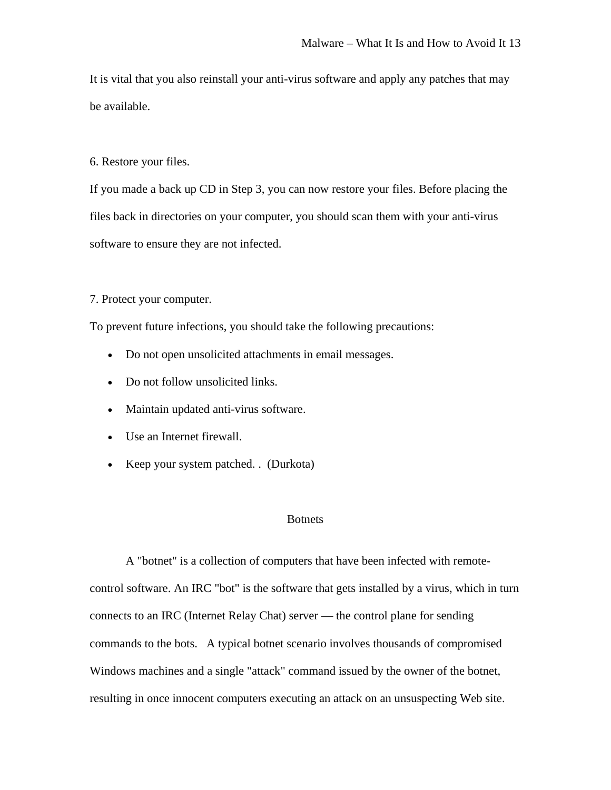It is vital that you also reinstall your anti-virus software and apply any patches that may be available.

6. Restore your files.

If you made a back up CD in Step 3, you can now restore your files. Before placing the files back in directories on your computer, you should scan them with your anti-virus software to ensure they are not infected.

7. Protect your computer.

To prevent future infections, you should take the following precautions:

- Do not open unsolicited attachments in email messages.
- Do not follow unsolicited links.
- Maintain updated anti-virus software.
- Use an Internet firewall.
- Keep your system patched. . (Durkota)

## **Botnets**

 A "botnet" is a collection of computers that have been infected with remotecontrol software. An IRC "bot" is the software that gets installed by a virus, which in turn connects to an IRC (Internet Relay Chat) server — the control plane for sending commands to the bots. A typical botnet scenario involves thousands of compromised Windows machines and a single "attack" command issued by the owner of the botnet, resulting in once innocent computers executing an attack on an unsuspecting Web site.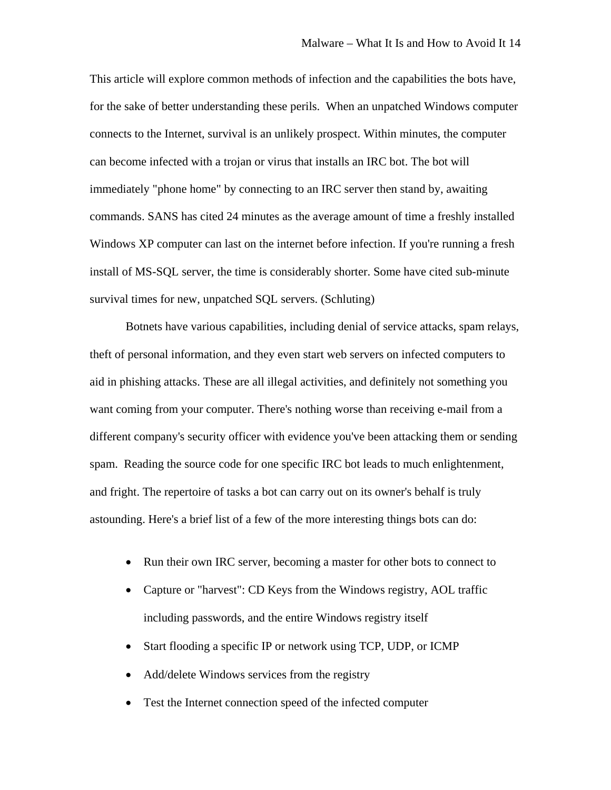This article will explore common methods of infection and the capabilities the bots have, for the sake of better understanding these perils. When an unpatched Windows computer connects to the Internet, survival is an unlikely prospect. Within minutes, the computer can become infected with a trojan or virus that installs an IRC bot. The bot will immediately "phone home" by connecting to an IRC server then stand by, awaiting commands. SANS has cited 24 minutes as the average amount of time a freshly installed Windows XP computer can last on the internet before infection. If you're running a fresh install of MS-SQL server, the time is considerably shorter. Some have cited sub-minute survival times for new, unpatched SQL servers. (Schluting)

 Botnets have various capabilities, including denial of service attacks, spam relays, theft of personal information, and they even start web servers on infected computers to aid in phishing attacks. These are all illegal activities, and definitely not something you want coming from your computer. There's nothing worse than receiving e-mail from a different company's security officer with evidence you've been attacking them or sending spam. Reading the source code for one specific IRC bot leads to much enlightenment, and fright. The repertoire of tasks a bot can carry out on its owner's behalf is truly astounding. Here's a brief list of a few of the more interesting things bots can do:

- Run their own IRC server, becoming a master for other bots to connect to
- Capture or "harvest": CD Keys from the Windows registry, AOL traffic including passwords, and the entire Windows registry itself
- Start flooding a specific IP or network using TCP, UDP, or ICMP
- Add/delete Windows services from the registry
- Test the Internet connection speed of the infected computer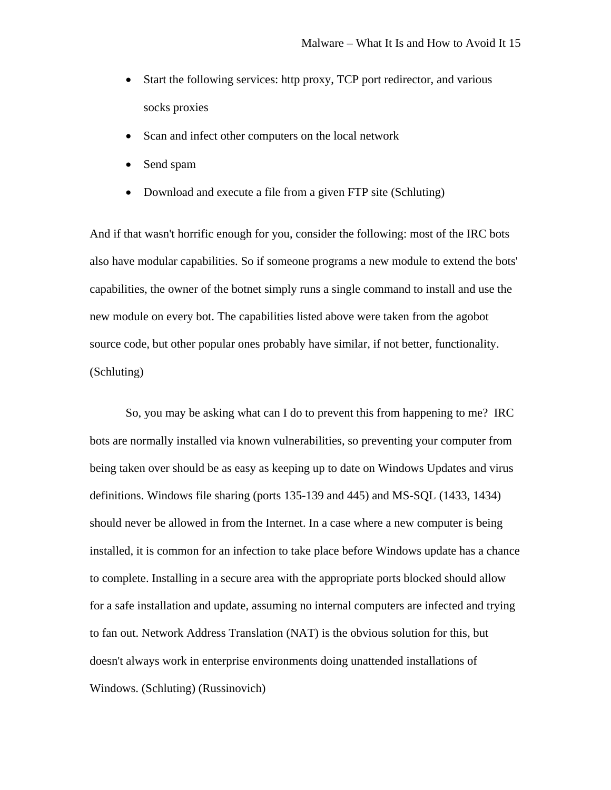- Start the following services: http proxy, TCP port redirector, and various socks proxies
- Scan and infect other computers on the local network
- Send spam
- Download and execute a file from a given FTP site (Schluting)

And if that wasn't horrific enough for you, consider the following: most of the IRC bots also have modular capabilities. So if someone programs a new module to extend the bots' capabilities, the owner of the botnet simply runs a single command to install and use the new module on every bot. The capabilities listed above were taken from the agobot source code, but other popular ones probably have similar, if not better, functionality. (Schluting)

 So, you may be asking what can I do to prevent this from happening to me? IRC bots are normally installed via known vulnerabilities, so preventing your computer from being taken over should be as easy as keeping up to date on Windows Updates and virus definitions. Windows file sharing (ports 135-139 and 445) and MS-SQL (1433, 1434) should never be allowed in from the Internet. In a case where a new computer is being installed, it is common for an infection to take place before Windows update has a chance to complete. Installing in a secure area with the appropriate ports blocked should allow for a safe installation and update, assuming no internal computers are infected and trying to fan out. Network Address Translation (NAT) is the obvious solution for this, but doesn't always work in enterprise environments doing unattended installations of Windows. (Schluting) (Russinovich)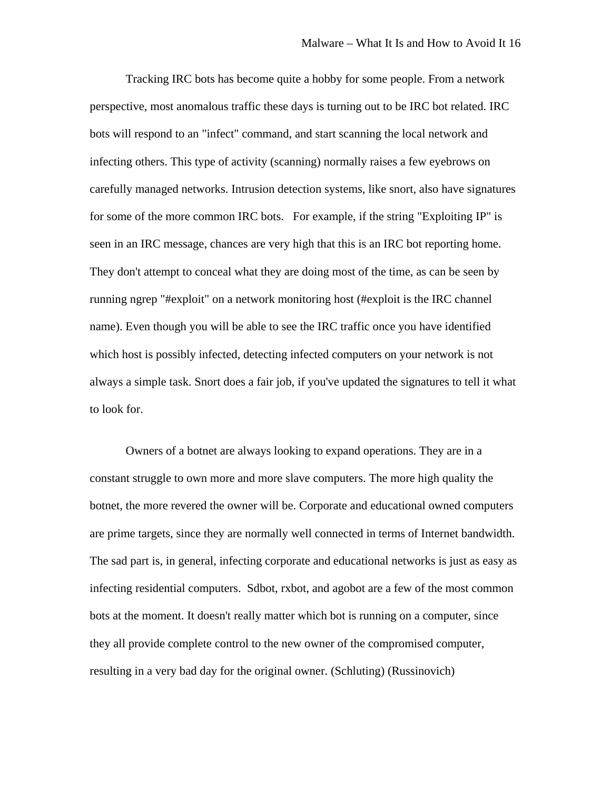Tracking IRC bots has become quite a hobby for some people. From a network perspective, most anomalous traffic these days is turning out to be IRC bot related. IRC bots will respond to an "infect" command, and start scanning the local network and infecting others. This type of activity (scanning) normally raises a few eyebrows on carefully managed networks. Intrusion detection systems, like snort, also have signatures for some of the more common IRC bots. For example, if the string "Exploiting IP" is seen in an IRC message, chances are very high that this is an IRC bot reporting home. They don't attempt to conceal what they are doing most of the time, as can be seen by running ngrep "#exploit" on a network monitoring host (#exploit is the IRC channel name). Even though you will be able to see the IRC traffic once you have identified which host is possibly infected, detecting infected computers on your network is not always a simple task. Snort does a fair job, if you've updated the signatures to tell it what to look for.

 Owners of a botnet are always looking to expand operations. They are in a constant struggle to own more and more slave computers. The more high quality the botnet, the more revered the owner will be. Corporate and educational owned computers are prime targets, since they are normally well connected in terms of Internet bandwidth. The sad part is, in general, infecting corporate and educational networks is just as easy as infecting residential computers. Sdbot, rxbot, and agobot are a few of the most common bots at the moment. It doesn't really matter which bot is running on a computer, since they all provide complete control to the new owner of the compromised computer, resulting in a very bad day for the original owner. (Schluting) (Russinovich)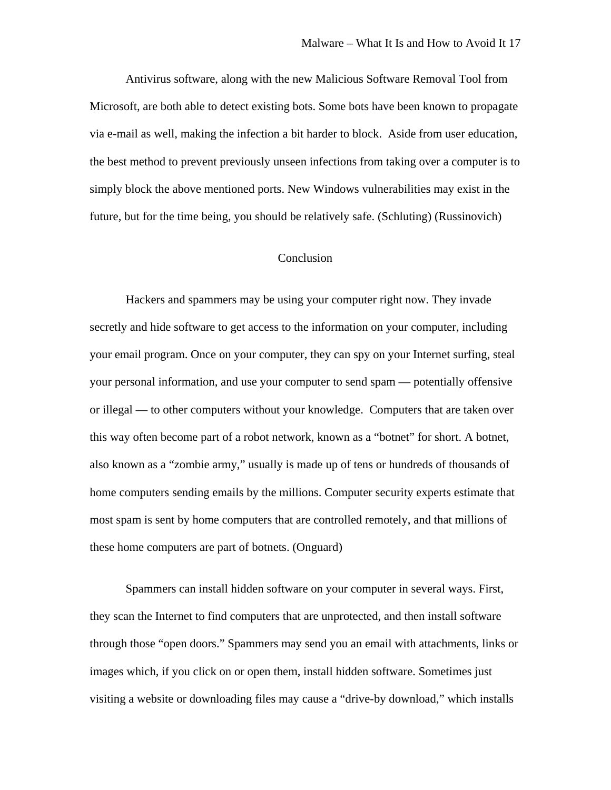Antivirus software, along with the new Malicious Software Removal Tool from Microsoft, are both able to detect existing bots. Some bots have been known to propagate via e-mail as well, making the infection a bit harder to block. Aside from user education, the best method to prevent previously unseen infections from taking over a computer is to simply block the above mentioned ports. New Windows vulnerabilities may exist in the future, but for the time being, you should be relatively safe. (Schluting) (Russinovich)

# Conclusion

 Hackers and spammers may be using your computer right now. They invade secretly and hide software to get access to the information on your computer, including your email program. Once on your computer, they can spy on your Internet surfing, steal your personal information, and use your computer to send spam — potentially offensive or illegal — to other computers without your knowledge. Computers that are taken over this way often become part of a robot network, known as a "botnet" for short. A botnet, also known as a "zombie army," usually is made up of tens or hundreds of thousands of home computers sending emails by the millions. Computer security experts estimate that most spam is sent by home computers that are controlled remotely, and that millions of these home computers are part of botnets. (Onguard)

 Spammers can install hidden software on your computer in several ways. First, they scan the Internet to find computers that are unprotected, and then install software through those "open doors." Spammers may send you an email with attachments, links or images which, if you click on or open them, install hidden software. Sometimes just visiting a website or downloading files may cause a "drive-by download," which installs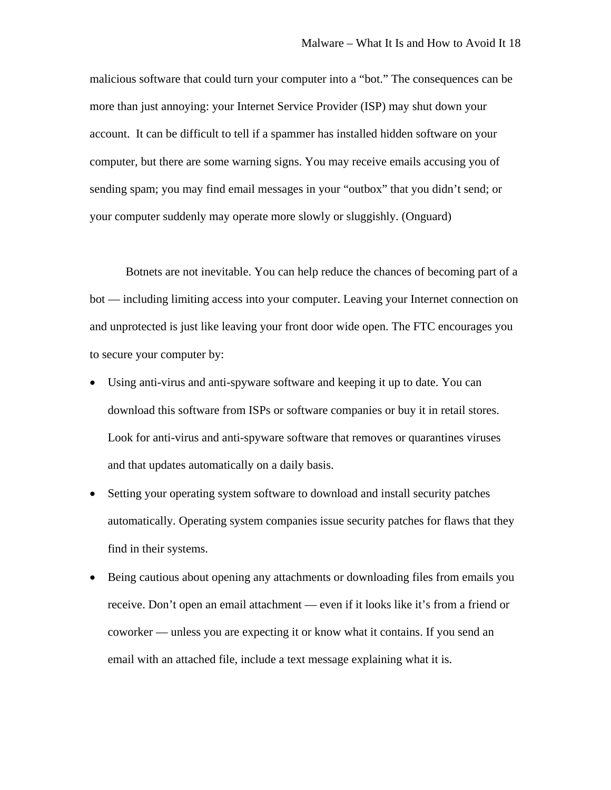malicious software that could turn your computer into a "bot." The consequences can be more than just annoying: your Internet Service Provider (ISP) may shut down your account. It can be difficult to tell if a spammer has installed hidden software on your computer, but there are some warning signs. You may receive emails accusing you of sending spam; you may find email messages in your "outbox" that you didn't send; or your computer suddenly may operate more slowly or sluggishly. (Onguard)

 Botnets are not inevitable. You can help reduce the chances of becoming part of a bot — including limiting access into your computer. Leaving your Internet connection on and unprotected is just like leaving your front door wide open. The FTC encourages you to secure your computer by:

- Using anti-virus and anti-spyware software and keeping it up to date. You can download this software from ISPs or software companies or buy it in retail stores. Look for anti-virus and anti-spyware software that removes or quarantines viruses and that updates automatically on a daily basis.
- Setting your operating system software to download and install security patches automatically. Operating system companies issue security patches for flaws that they find in their systems.
- Being cautious about opening any attachments or downloading files from emails you receive. Don't open an email attachment — even if it looks like it's from a friend or coworker — unless you are expecting it or know what it contains. If you send an email with an attached file, include a text message explaining what it is.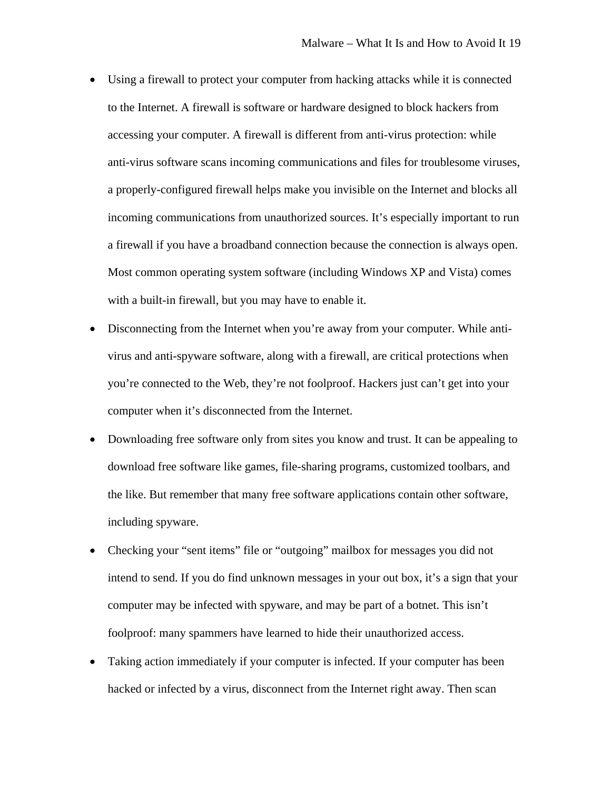- Using a firewall to protect your computer from hacking attacks while it is connected to the Internet. A firewall is software or hardware designed to block hackers from accessing your computer. A firewall is different from anti-virus protection: while anti-virus software scans incoming communications and files for troublesome viruses, a properly-configured firewall helps make you invisible on the Internet and blocks all incoming communications from unauthorized sources. It's especially important to run a firewall if you have a broadband connection because the connection is always open. Most common operating system software (including Windows XP and Vista) comes with a built-in firewall, but you may have to enable it.
- Disconnecting from the Internet when you're away from your computer. While antivirus and anti-spyware software, along with a firewall, are critical protections when you're connected to the Web, they're not foolproof. Hackers just can't get into your computer when it's disconnected from the Internet.
- Downloading free software only from sites you know and trust. It can be appealing to download free software like games, file-sharing programs, customized toolbars, and the like. But remember that many free software applications contain other software, including spyware.
- Checking your "sent items" file or "outgoing" mailbox for messages you did not intend to send. If you do find unknown messages in your out box, it's a sign that your computer may be infected with spyware, and may be part of a botnet. This isn't foolproof: many spammers have learned to hide their unauthorized access.
- Taking action immediately if your computer is infected. If your computer has been hacked or infected by a virus, disconnect from the Internet right away. Then scan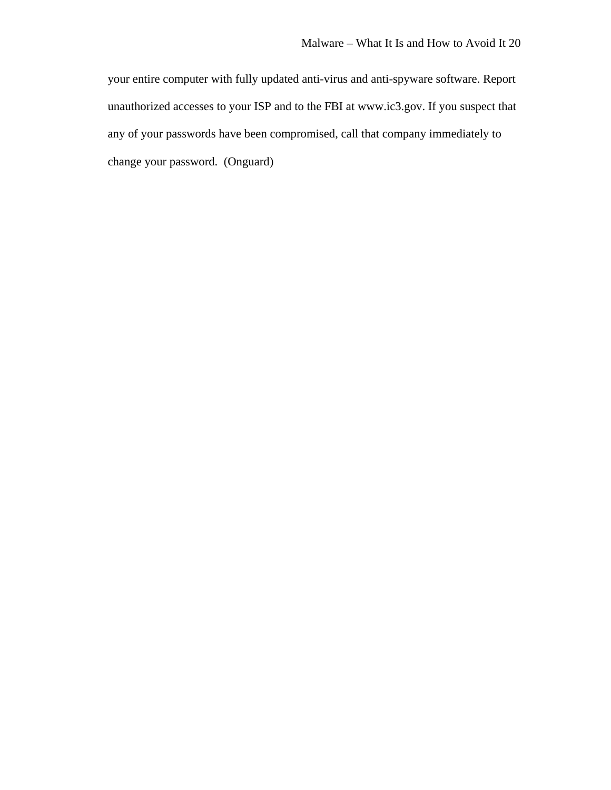your entire computer with fully updated anti-virus and anti-spyware software. Report unauthorized accesses to your ISP and to the FBI at www.ic3.gov. If you suspect that any of your passwords have been compromised, call that company immediately to change your password. (Onguard)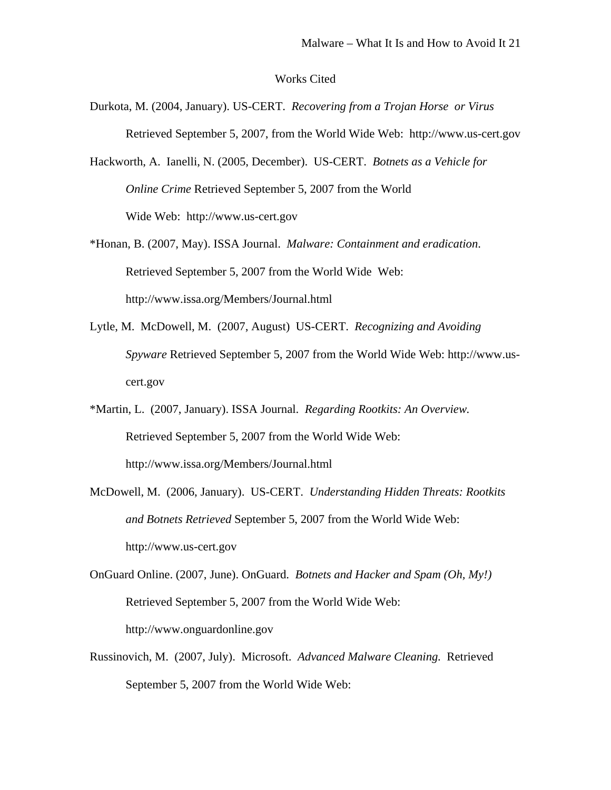#### Works Cited

- Durkota, M. (2004, January). US-CERT. *Recovering from a Trojan Horse or Virus* Retrieved September 5, 2007, from the World Wide Web: http://www.us-cert.gov
- Hackworth, A. Ianelli, N. (2005, December). US-CERT. *Botnets as a Vehicle for Online Crime* Retrieved September 5, 2007 from the World Wide Web: http://www.us-cert.gov
- \*Honan, B. (2007, May). ISSA Journal. *Malware: Containment and eradication*. Retrieved September 5, 2007 from the World Wide Web: http://www.issa.org/Members/Journal.html
- Lytle, M. McDowell, M. (2007, August) US-CERT. *Recognizing and Avoiding Spyware* Retrieved September 5, 2007 from the World Wide Web: http://www.uscert.gov
- \*Martin, L. (2007, January). ISSA Journal. *Regarding Rootkits: An Overview.* Retrieved September 5, 2007 from the World Wide Web: http://www.issa.org/Members/Journal.html
- McDowell, M. (2006, January). US-CERT. *Understanding Hidden Threats: Rootkits and Botnets Retrieved* September 5, 2007 from the World Wide Web: http://www.us-cert.gov
- OnGuard Online. (2007, June). OnGuard. *Botnets and Hacker and Spam (Oh, My!)*  Retrieved September 5, 2007 from the World Wide Web: http://www.onguardonline.gov
- Russinovich, M. (2007, July). Microsoft. *Advanced Malware Cleaning.* Retrieved September 5, 2007 from the World Wide Web: